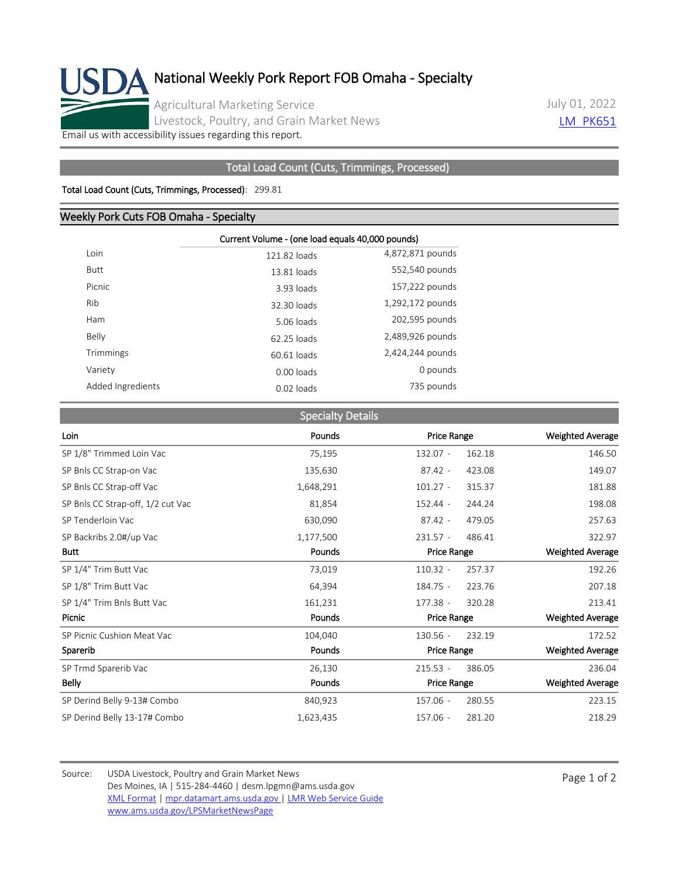

July 01, 2022 **LM PK651** 

[Email us with accessibility issues regarding this report.](mailto:mpr.lpgmn@ams.usda.gov?subject=508%20Issue)

## Total Load Count (Cuts, Trimmings, Processed)

## Total Load Count (Cuts, Trimmings, Processed): 299.81

## Weekly Pork Cuts FOB Omaha - Specialty

|                   | Current Volume - (one load equals 40,000 pounds) |                  |  |  |
|-------------------|--------------------------------------------------|------------------|--|--|
| Loin              | 121.82 loads                                     | 4,872,871 pounds |  |  |
| <b>Butt</b>       | 13.81 loads                                      | 552,540 pounds   |  |  |
| Picnic            | 3.93 loads                                       | 157,222 pounds   |  |  |
| Rib               | 32.30 loads                                      | 1,292,172 pounds |  |  |
| Ham               | 5.06 loads                                       | 202,595 pounds   |  |  |
| Belly             | 62.25 loads                                      | 2,489,926 pounds |  |  |
| Trimmings         | 60.61 loads                                      | 2,424,244 pounds |  |  |
| Variety           | $0.00$ loads                                     | 0 pounds         |  |  |
| Added Ingredients | $0.02$ loads                                     | 735 pounds       |  |  |

|                                   | <b>Specialty Details</b> |                      |                         |
|-----------------------------------|--------------------------|----------------------|-------------------------|
| Loin                              | Pounds                   | Price Range          | <b>Weighted Average</b> |
| SP 1/8" Trimmed Loin Vac          | 75,195                   | 162.18<br>132.07 -   | 146.50                  |
| SP Bnls CC Strap-on Vac           | 135,630                  | $87.42 -$<br>423.08  | 149.07                  |
| SP Bnls CC Strap-off Vac          | 1,648,291                | $101.27 -$<br>315.37 | 181.88                  |
| SP Bnls CC Strap-off, 1/2 cut Vac | 81,854                   | $152.44 -$<br>244.24 | 198.08                  |
| SP Tenderloin Vac                 | 630,090                  | $87.42 -$<br>479.05  | 257.63                  |
| SP Backribs 2.0#/up Vac           | 1,177,500                | $231.57 -$<br>486.41 | 322.97                  |
| <b>Butt</b>                       | Pounds                   | <b>Price Range</b>   | <b>Weighted Average</b> |
| SP 1/4" Trim Butt Vac             | 73,019                   | $110.32 -$<br>257.37 | 192.26                  |
| SP 1/8" Trim Butt Vac             | 64,394                   | $184.75 -$<br>223.76 | 207.18                  |
| SP 1/4" Trim Bnls Butt Vac        | 161,231                  | 177.38 -<br>320.28   | 213.41                  |
| Picnic                            | Pounds                   | <b>Price Range</b>   | Weighted Average        |
| SP Picnic Cushion Meat Vac        | 104,040                  | 232.19<br>130.56 -   | 172.52                  |
| Sparerib                          | Pounds                   | Price Range          | <b>Weighted Average</b> |
| SP Trmd Sparerib Vac              | 26,130                   | $215.53 -$<br>386.05 | 236.04                  |
| Belly                             | Pounds                   | <b>Price Range</b>   | Weighted Average        |
| SP Derind Belly 9-13# Combo       | 840,923                  | 157.06 -<br>280.55   | 223.15                  |
| SP Derind Belly 13-17# Combo      | 1,623,435                | 157.06 -<br>281.20   | 218.29                  |

Source: USDA Livestock, Poultry and Grain Market News<br>
Page 1 of 2 Des Moines, IA | 515-284-4460 | desm.lpgmn@ams.usda.gov [XML Format](https://mpr.datamart.ams.usda.gov/ws/report/v1/pork/LM_PK651?filter=%7B%22filters%22:%5B%7B%22fieldName%22:%22Report%20date%22,%22operatorType%22:%22EQUAL%22,%22values%22:%5B%227/1/2022%22%5D%7D%5D%7D) | [mpr.datamart.ams.usda.gov](https://mpr.datamart.ams.usda.gov/) | [LMR Web Service Guide](https://www.marketnews.usda.gov/mnp/assets/ls/USDA-LMR-WebService-Client-User-Guide-v1_prod.pdf) [www.ams.usda.gov/LPSMarketNewsPage](https://www.ams.usda.gov/LPSMarketNewsPage)